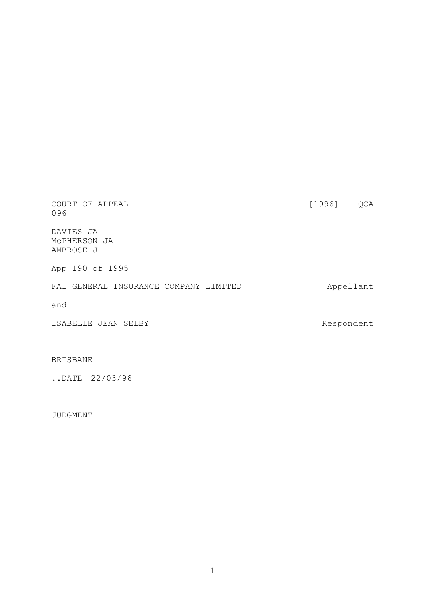| COURT OF APPEAL<br>096                   | [1996]     | QCA |
|------------------------------------------|------------|-----|
| DAVIES JA<br>MCPHERSON JA<br>AMBROSE J   |            |     |
| 190 of 1995<br>App                       |            |     |
| GENERAL INSURANCE COMPANY LIMITED<br>FAI | Appellant  |     |
| and                                      |            |     |
| ISABELLE JEAN SELBY                      | Respondent |     |

# BRISBANE

..DATE 22/03/96

# JUDGMENT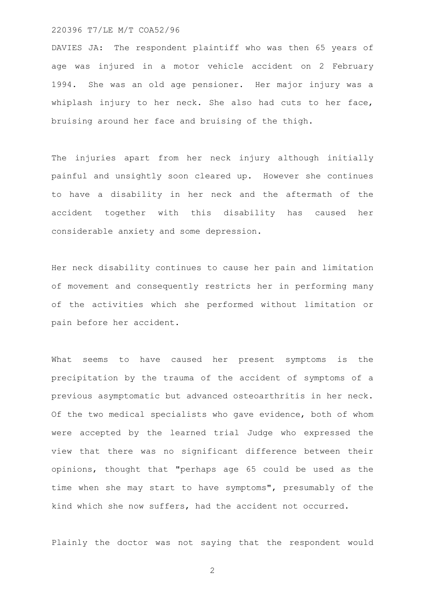DAVIES JA: The respondent plaintiff who was then 65 years of age was injured in a motor vehicle accident on 2 February 1994. She was an old age pensioner. Her major injury was a whiplash injury to her neck. She also had cuts to her face, bruising around her face and bruising of the thigh.

The injuries apart from her neck injury although initially painful and unsightly soon cleared up. However she continues to have a disability in her neck and the aftermath of the accident together with this disability has caused her considerable anxiety and some depression.

Her neck disability continues to cause her pain and limitation of movement and consequently restricts her in performing many of the activities which she performed without limitation or pain before her accident.

What seems to have caused her present symptoms is the precipitation by the trauma of the accident of symptoms of a previous asymptomatic but advanced osteoarthritis in her neck. Of the two medical specialists who gave evidence, both of whom were accepted by the learned trial Judge who expressed the view that there was no significant difference between their opinions, thought that "perhaps age 65 could be used as the time when she may start to have symptoms", presumably of the kind which she now suffers, had the accident not occurred.

Plainly the doctor was not saying that the respondent would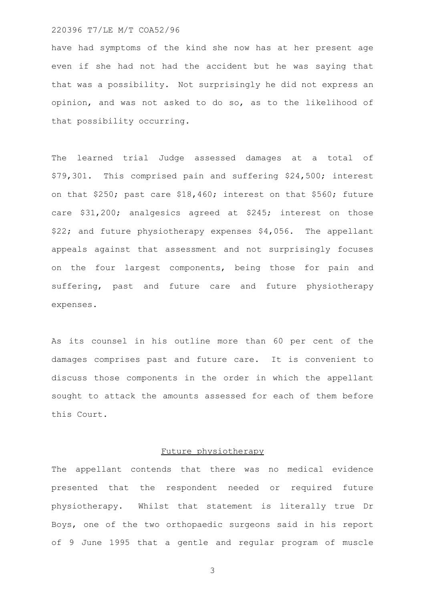have had symptoms of the kind she now has at her present age even if she had not had the accident but he was saying that that was a possibility. Not surprisingly he did not express an opinion, and was not asked to do so, as to the likelihood of that possibility occurring.

The learned trial Judge assessed damages at a total of \$79,301. This comprised pain and suffering \$24,500; interest on that \$250; past care \$18,460; interest on that \$560; future care \$31,200; analgesics agreed at \$245; interest on those \$22; and future physiotherapy expenses \$4,056. The appellant appeals against that assessment and not surprisingly focuses on the four largest components, being those for pain and suffering, past and future care and future physiotherapy expenses.

As its counsel in his outline more than 60 per cent of the damages comprises past and future care. It is convenient to discuss those components in the order in which the appellant sought to attack the amounts assessed for each of them before this Court.

# Future physiotherapy

The appellant contends that there was no medical evidence presented that the respondent needed or required future physiotherapy. Whilst that statement is literally true Dr Boys, one of the two orthopaedic surgeons said in his report of 9 June 1995 that a gentle and regular program of muscle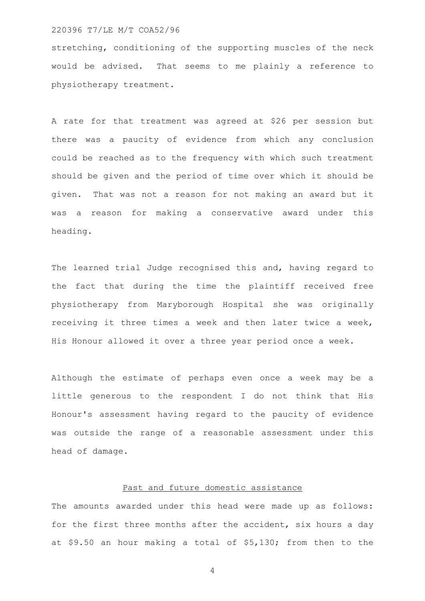stretching, conditioning of the supporting muscles of the neck would be advised. That seems to me plainly a reference to physiotherapy treatment.

A rate for that treatment was agreed at \$26 per session but there was a paucity of evidence from which any conclusion could be reached as to the frequency with which such treatment should be given and the period of time over which it should be given. That was not a reason for not making an award but it was a reason for making a conservative award under this heading.

The learned trial Judge recognised this and, having regard to the fact that during the time the plaintiff received free physiotherapy from Maryborough Hospital she was originally receiving it three times a week and then later twice a week, His Honour allowed it over a three year period once a week.

Although the estimate of perhaps even once a week may be a little generous to the respondent I do not think that His Honour's assessment having regard to the paucity of evidence was outside the range of a reasonable assessment under this head of damage.

# Past and future domestic assistance

The amounts awarded under this head were made up as follows: for the first three months after the accident, six hours a day at \$9.50 an hour making a total of \$5,130; from then to the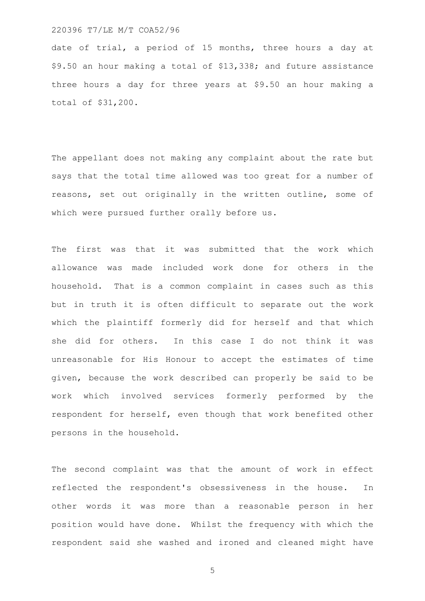date of trial, a period of 15 months, three hours a day at \$9.50 an hour making a total of \$13,338; and future assistance three hours a day for three years at \$9.50 an hour making a total of \$31,200.

The appellant does not making any complaint about the rate but says that the total time allowed was too great for a number of reasons, set out originally in the written outline, some of which were pursued further orally before us.

The first was that it was submitted that the work which allowance was made included work done for others in the household. That is a common complaint in cases such as this but in truth it is often difficult to separate out the work which the plaintiff formerly did for herself and that which she did for others. In this case I do not think it was unreasonable for His Honour to accept the estimates of time given, because the work described can properly be said to be work which involved services formerly performed by the respondent for herself, even though that work benefited other persons in the household.

The second complaint was that the amount of work in effect reflected the respondent's obsessiveness in the house. In other words it was more than a reasonable person in her position would have done. Whilst the frequency with which the respondent said she washed and ironed and cleaned might have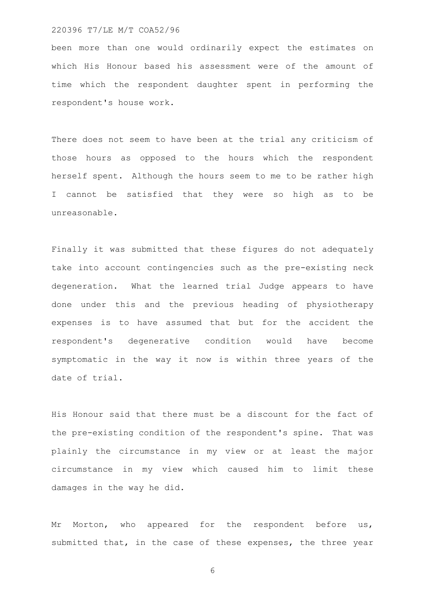been more than one would ordinarily expect the estimates on which His Honour based his assessment were of the amount of time which the respondent daughter spent in performing the respondent's house work.

There does not seem to have been at the trial any criticism of those hours as opposed to the hours which the respondent herself spent. Although the hours seem to me to be rather high I cannot be satisfied that they were so high as to be unreasonable.

Finally it was submitted that these figures do not adequately take into account contingencies such as the pre-existing neck degeneration. What the learned trial Judge appears to have done under this and the previous heading of physiotherapy expenses is to have assumed that but for the accident the respondent's degenerative condition would have become symptomatic in the way it now is within three years of the date of trial.

His Honour said that there must be a discount for the fact of the pre-existing condition of the respondent's spine. That was plainly the circumstance in my view or at least the major circumstance in my view which caused him to limit these damages in the way he did.

Mr Morton, who appeared for the respondent before us, submitted that, in the case of these expenses, the three year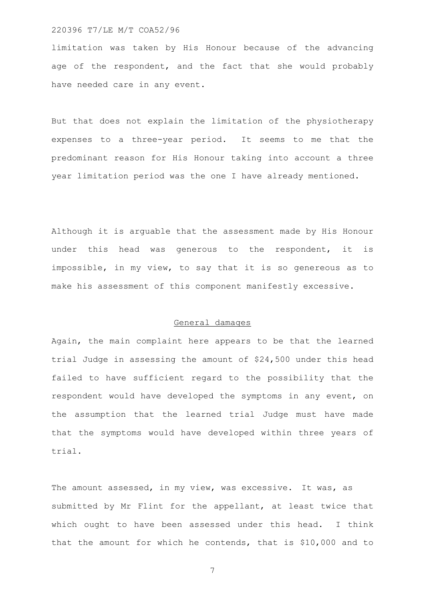limitation was taken by His Honour because of the advancing age of the respondent, and the fact that she would probably have needed care in any event.

But that does not explain the limitation of the physiotherapy expenses to a three-year period. It seems to me that the predominant reason for His Honour taking into account a three year limitation period was the one I have already mentioned.

Although it is arguable that the assessment made by His Honour under this head was generous to the respondent, it is impossible, in my view, to say that it is so genereous as to make his assessment of this component manifestly excessive.

### General damages

Again, the main complaint here appears to be that the learned trial Judge in assessing the amount of \$24,500 under this head failed to have sufficient regard to the possibility that the respondent would have developed the symptoms in any event, on the assumption that the learned trial Judge must have made that the symptoms would have developed within three years of trial.

The amount assessed, in my view, was excessive. It was, as submitted by Mr Flint for the appellant, at least twice that which ought to have been assessed under this head. I think that the amount for which he contends, that is \$10,000 and to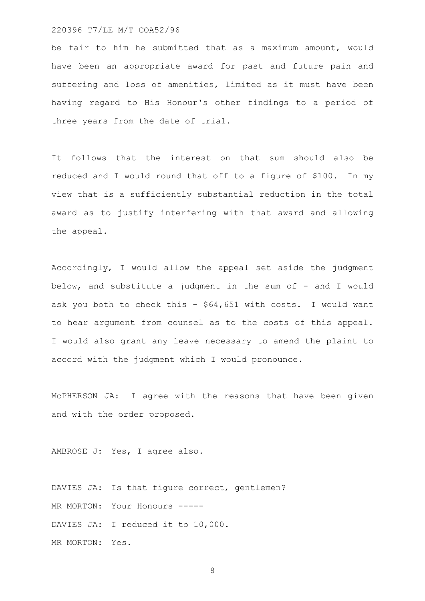be fair to him he submitted that as a maximum amount, would have been an appropriate award for past and future pain and suffering and loss of amenities, limited as it must have been having regard to His Honour's other findings to a period of three years from the date of trial.

It follows that the interest on that sum should also be reduced and I would round that off to a figure of \$100. In my view that is a sufficiently substantial reduction in the total award as to justify interfering with that award and allowing the appeal.

Accordingly, I would allow the appeal set aside the judgment below, and substitute a judgment in the sum of - and I would ask you both to check this - \$64,651 with costs. I would want to hear argument from counsel as to the costs of this appeal. I would also grant any leave necessary to amend the plaint to accord with the judgment which I would pronounce.

McPHERSON JA: I agree with the reasons that have been given and with the order proposed.

AMBROSE J: Yes, I agree also.

DAVIES JA: Is that figure correct, gentlemen? MR MORTON: Your Honours -----DAVIES JA: I reduced it to 10,000. MR MORTON: Yes.